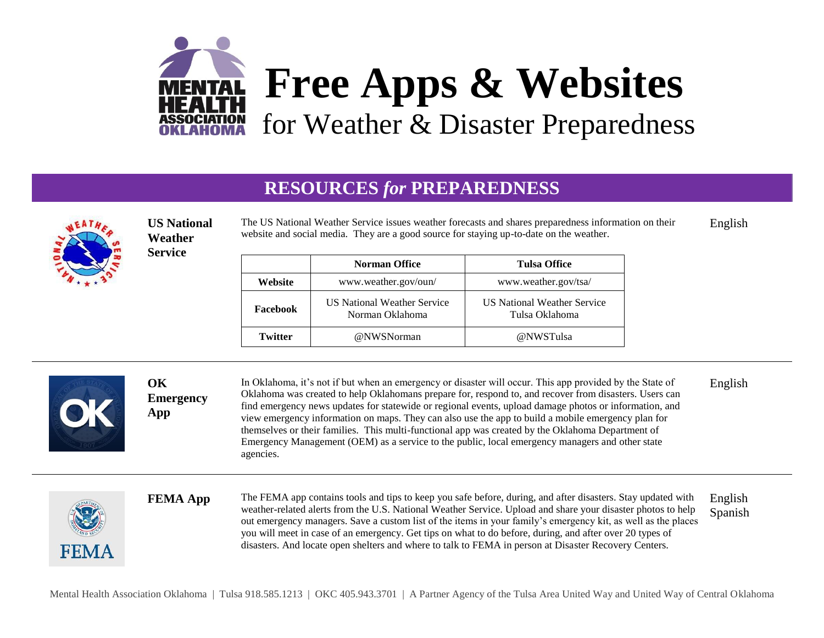

## **RESOURCES** *for* **PREPAREDNESS**



**FFMA** 

**US National Weather Service**

The US National Weather Service issues weather forecasts and shares preparedness information on their website and social media. They are a good source for staying up-to-date on the weather. English

|          | <b>Norman Office</b>                                  | <b>Tulsa Office</b>                                  |
|----------|-------------------------------------------------------|------------------------------------------------------|
| Website  | www.weather.gov/oun/                                  | www.weather.gov/tsa/                                 |
| Facebook | <b>US National Weather Service</b><br>Norman Oklahoma | <b>US National Weather Service</b><br>Tulsa Oklahoma |
| Twitter  | @NWSNorman                                            | @NWSTulsa                                            |

| OK<br>1907 | ОK<br><b>Emergency</b><br>App | In Oklahoma, it's not if but when an emergency or disaster will occur. This app provided by the State of<br>Oklahoma was created to help Oklahomans prepare for, respond to, and recover from disasters. Users can<br>find emergency news updates for statewide or regional events, upload damage photos or information, and<br>view emergency information on maps. They can also use the app to build a mobile emergency plan for<br>themselves or their families. This multi-functional app was created by the Oklahoma Department of<br>Emergency Management (OEM) as a service to the public, local emergency managers and other state<br>agencies. | English |
|------------|-------------------------------|---------------------------------------------------------------------------------------------------------------------------------------------------------------------------------------------------------------------------------------------------------------------------------------------------------------------------------------------------------------------------------------------------------------------------------------------------------------------------------------------------------------------------------------------------------------------------------------------------------------------------------------------------------|---------|
|            |                               |                                                                                                                                                                                                                                                                                                                                                                                                                                                                                                                                                                                                                                                         |         |

**FEMA App** The FEMA app contains tools and tips to keep you safe before, during, and after disasters. Stay updated with weather-related alerts from the U.S. National Weather Service. Upload and share your disaster photos to help out emergency managers. Save a custom list of the items in your family's emergency kit, as well as the places you will meet in case of an emergency. Get tips on what to do before, during, and after over 20 types of disasters. And locate open shelters and where to talk to FEMA in person at Disaster Recovery Centers. English Spanish

Mental Health Association Oklahoma | Tulsa 918.585.1213 | OKC 405.943.3701 | A Partner Agency of the Tulsa Area United Way and United Way of Central Oklahoma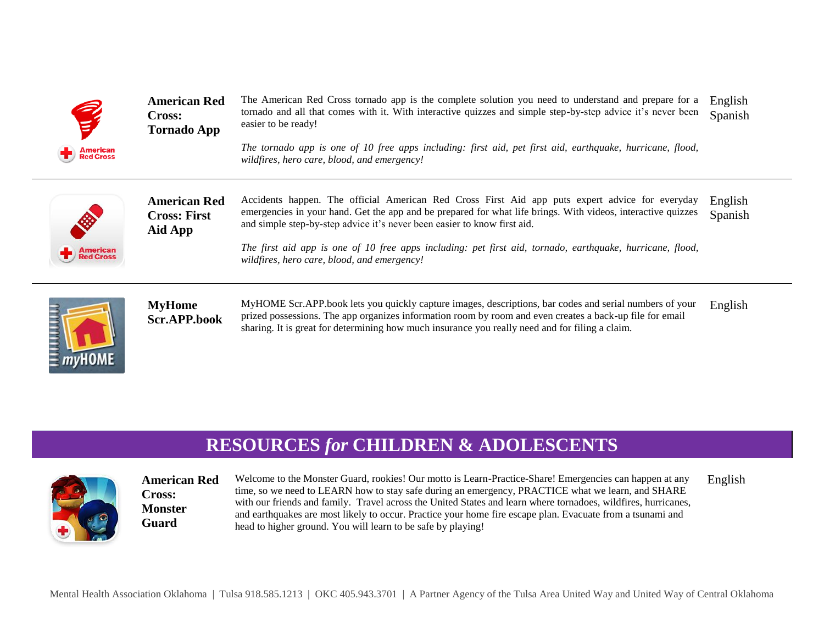

**American Red Cross: Tornado App**

The American Red Cross tornado app is the complete solution you need to understand and prepare for a tornado and all that comes with it. With interactive quizzes and simple step-by-step advice it's never been easier to be ready! English Spanish

*The tornado app is one of 10 free apps including: first aid, pet first aid, earthquake, hurricane, flood, wildfires, hero care, blood, and emergency!* 



**American Red Cross: First Aid App**

Accidents happen. The official American Red Cross First Aid app puts expert advice for everyday emergencies in your hand. Get the app and be prepared for what life brings. With videos, interactive quizzes and simple step-by-step advice it's never been easier to know first aid. English Spanish

*The first aid app is one of 10 free apps including: pet first aid, tornado, earthquake, hurricane, flood, wildfires, hero care, blood, and emergency!* 



**MyHome Scr.APP.book** MyHOME Scr.APP.book lets you quickly capture images, descriptions, bar codes and serial numbers of your prized possessions. The app organizes information room by room and even creates a back-up file for email sharing. It is great for determining how much insurance you really need and for filing a claim. English

## **RESOURCES** *for* **CHILDREN & ADOLESCENTS**



**American Red Cross: Monster Guard**

Welcome to the Monster Guard, rookies! Our motto is Learn-Practice-Share! Emergencies can happen at any time, so we need to LEARN how to stay safe during an emergency, PRACTICE what we learn, and SHARE with our friends and family. Travel across the United States and learn where tornadoes, wildfires, hurricanes, and earthquakes are most likely to occur. Practice your home fire escape plan. Evacuate from a tsunami and head to higher ground. You will learn to be safe by playing! English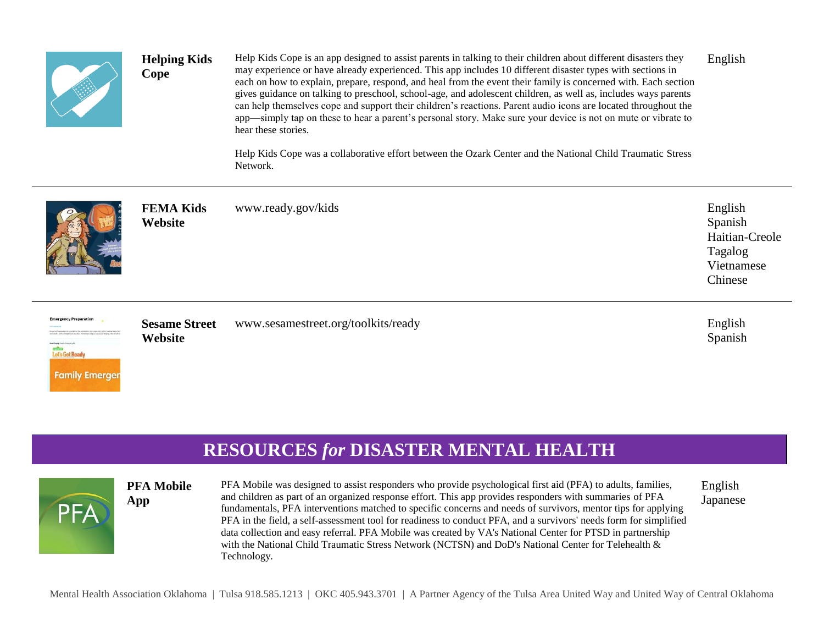

Help Kids Cope is an app designed to assist parents in talking to their children about different disasters they may experience or have already experienced. This app includes 10 different disaster types with sections in each on how to explain, prepare, respond, and heal from the event their family is concerned with. Each section gives guidance on talking to preschool, school-age, and adolescent children, as well as, includes ways parents can help themselves cope and support their children's reactions. Parent audio icons are located throughout the app—simply tap on these to hear a parent's personal story. Make sure your device is not on mute or vibrate to hear these stories. English

Help Kids Cope was a collaborative effort between the Ozark Center and the National Child Traumatic Stress Network.



**Emergency Preparation** 

**Define**<br>Let's Get Ready

**Family Emerger** 

PFA

**FEMA Kids Website** www.ready.gov/kids English

**Sesame Street Website**

**Helping Kids** 

**Cope** 

www.sesamestreet.org/toolkits/ready English

Spanish

Spanish

Tagalog Vietnamese Chinese

Haitian-Creole

## **RESOURCES** *for* **DISASTER MENTAL HEALTH**

## **PFA Mobile App**

PFA Mobile was designed to assist responders who provide psychological first aid (PFA) to adults, families, and children as part of an organized response effort. This app provides responders with summaries of PFA fundamentals, PFA interventions matched to specific concerns and needs of survivors, mentor tips for applying PFA in the field, a self-assessment tool for readiness to conduct PFA, and a survivors' needs form for simplified data collection and easy referral. PFA Mobile was created by VA's National Center for PTSD in partnership with the National Child Traumatic Stress Network (NCTSN) and DoD's National Center for Telehealth & Technology.

English Japanese

Mental Health Association Oklahoma | Tulsa 918.585.1213 | OKC 405.943.3701 | A Partner Agency of the Tulsa Area United Way and United Way of Central Oklahoma